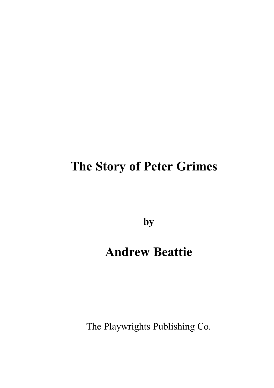**by**

# **Andrew Beattie**

The Playwrights Publishing Co.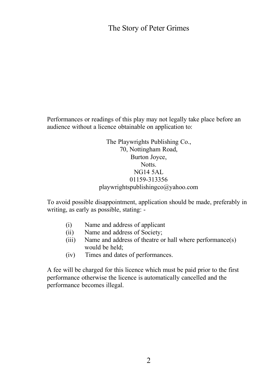Performances or readings of this play may not legally take place before an audience without a licence obtainable on application to:

> The Playwrights Publishing Co., 70, Nottingham Road, Burton Joyce, Notts. NG14 5AL 01159-313356 playwrightspublishingco@yahoo.com

To avoid possible disappointment, application should be made, preferably in writing, as early as possible, stating: -

- (i) Name and address of applicant
- (ii) Name and address of Society;
- (iii) Name and address of theatre or hall where performance(s) would be held;
- (iv) Times and dates of performances.

A fee will be charged for this licence which must be paid prior to the first performance otherwise the licence is automatically cancelled and the performance becomes illegal.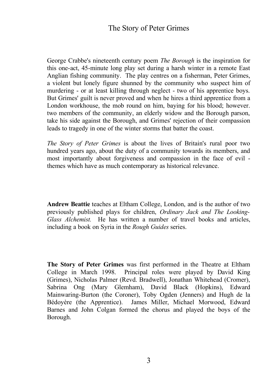George Crabbe's nineteenth century poem *The Borough* is the inspiration for this one-act, 45-minute long play set during a harsh winter in a remote East Anglian fishing community. The play centres on a fisherman, Peter Grimes, a violent but lonely figure shunned by the community who suspect him of murdering - or at least killing through neglect - two of his apprentice boys. But Grimes' guilt is never proved and when he hires a third apprentice from a London workhouse, the mob round on him, baying for his blood; however. two members of the community, an elderly widow and the Borough parson, take his side against the Borough, and Grimes' rejection of their compassion leads to tragedy in one of the winter storms that batter the coast.

*The Story of Peter Grimes* is about the lives of Britain's rural poor two hundred years ago, about the duty of a community towards its members, and most importantly about forgiveness and compassion in the face of evil themes which have as much contemporary as historical relevance.

**Andrew Beattie** teaches at Eltham College, London, and is the author of two previously published plays for children, *Ordinary Jack and The Looking-Glass Alchemist.* He has written a number of travel books and articles, including a book on Syria in the *Rough Guides* series.

**The Story of Peter Grimes** was first performed in the Theatre at Eltham College in March 1998. Principal roles were played by David King (Grimes), Nicholas Palmer (Revd. Bradwell), Jonathan Whitehead (Cromer), Sabrina Ong (Mary Glemham), David Black (Hopkins), Edward Mainwaring-Burton (the Coroner), Toby Ogden (Jenners) and Hugh de la Bédoyère (the Apprentice). James Miller, Michael Morwood, Edward Barnes and John Colgan formed the chorus and played the boys of the Borough.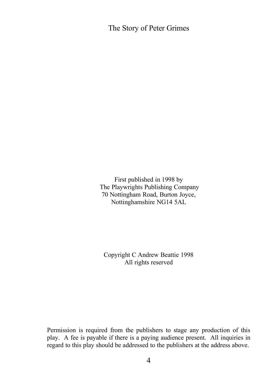First published in 1998 by The Playwrights Publishing Company 70 Nottingham Road, Burton Joyce, Nottinghamshire NG14 5AL

Copyright C Andrew Beattie 1998 All rights reserved

Permission is required from the publishers to stage any production of this play. A fee is payable if there is a paying audience present. All inquiries in regard to this play should be addressed to the publishers at the address above.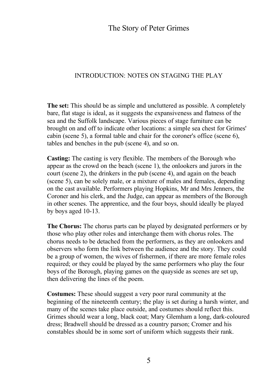## INTRODUCTION: NOTES ON STAGING THE PLAY

**The set:** This should be as simple and uncluttered as possible. A completely bare, flat stage is ideal, as it suggests the expansiveness and flatness of the sea and the Suffolk landscape. Various pieces of stage furniture can be brought on and off to indicate other locations: a simple sea chest for Grimes' cabin (scene 5), a formal table and chair for the coroner's office (scene 6), tables and benches in the pub (scene 4), and so on.

**Casting:** The casting is very flexible. The members of the Borough who appear as the crowd on the beach (scene 1), the onlookers and jurors in the court (scene 2), the drinkers in the pub (scene 4), and again on the beach (scene 5), can be solely male, or a mixture of males and females, depending on the cast available. Performers playing Hopkins, Mr and Mrs Jenners, the Coroner and his clerk, and the Judge, can appear as members of the Borough in other scenes. The apprentice, and the four boys, should ideally be played by boys aged 10-13.

**The Chorus:** The chorus parts can be played by designated performers or by those who play other roles and interchange them with chorus roles. The chorus needs to be detached from the performers, as they are onlookers and observers who form the link between the audience and the story. They could be a group of women, the wives of fishermen, if there are more female roles required; or they could be played by the same performers who play the four boys of the Borough, playing games on the quayside as scenes are set up, then delivering the lines of the poem.

**Costumes:** These should suggest a very poor rural community at the beginning of the nineteenth century; the play is set during a harsh winter, and many of the scenes take place outside, and costumes should reflect this. Grimes should wear a long, black coat; Mary Glemham a long, dark-coloured dress; Bradwell should be dressed as a country parson; Cromer and his constables should be in some sort of uniform which suggests their rank.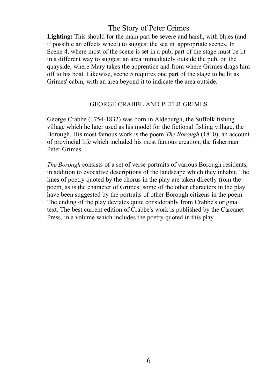Lighting: This should for the main part be severe and harsh, with blues (and if possible an effects wheel) to suggest the sea in appropriate scenes. In Scene 4, where most of the scene is set in a pub, part of the stage must be lit in a different way to suggest an area immediately outside the pub, on the quayside, where Mary takes the apprentice and from where Grimes drags him off to his boat. Likewise, scene 5 requires one part of the stage to be lit as Grimes' cabin, with an area beyond it to indicate the area outside.

## GEORGE CRABBE AND PETER GRIMES

George Crabbe (1754-1832) was born in Aldeburgh, the Suffolk fishing village which he later used as his model for the fictional fishing village, the Borough. His most famous work is the poem *The Borough* (1810), an account of provincial life which included his most famous creation, the fisherman Peter Grimes.

*The Borough* consists of a set of verse portraits of various Borough residents, in addition to evocative descriptions of the landscape which they inhabit. The lines of poetry quoted by the chorus in the play are taken directly from the poem, as is the character of Grimes; some of the other characters in the play have been suggested by the portraits of other Borough citizens in the poem. The ending of the play deviates quite considerably from Crabbe's original text. The best current edition of Crabbe's work is published by the Carcanet Press, in a volume which includes the poetry quoted in this play.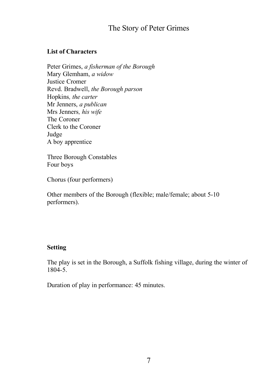## **List of Characters**

Peter Grimes, *a fisherman of the Borough* Mary Glemham, *a widow* Justice Cromer Revd. Bradwell, *the Borough parson* Hopkins*, the carter* Mr Jenners, *a publican* Mrs Jenners*, his wife* The Coroner Clerk to the Coroner Judge A boy apprentice

Three Borough Constables Four boys

Chorus (four performers)

Other members of the Borough (flexible; male/female; about 5-10 performers).

## **Setting**

The play is set in the Borough, a Suffolk fishing village, during the winter of 1804-5.

Duration of play in performance: 45 minutes.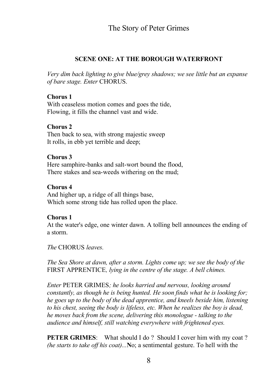## **SCENE ONE: AT THE BOROUGH WATERFRONT**

*Very dim back lighting to give blue/grey shadows; we see little but an expanse of bare stage. Enter* CHORUS.

### **Chorus 1**

With ceaseless motion comes and goes the tide, Flowing, it fills the channel vast and wide.

#### **Chorus 2**

Then back to sea, with strong majestic sweep It rolls, in ebb yet terrible and deep;

#### **Chorus 3**

Here samphire-banks and salt-wort bound the flood, There stakes and sea-weeds withering on the mud;

#### **Chorus 4**

And higher up, a ridge of all things base, Which some strong tide has rolled upon the place.

## **Chorus 1**

At the water's edge, one winter dawn. A tolling bell announces the ending of a storm.

*The* CHORUS *leaves.*

*The Sea Shore at dawn, after a storm. Lights come up; we see the body of the* FIRST APPRENTICE*, lying in the centre of the stage. A bell chimes.*

*Enter* PETER GRIMES*; he looks harried and nervous, looking around constantly, as though he is being hunted. He soon finds what he is looking for; he goes up to the body of the dead apprentice, and kneels beside him, listening to his chest, seeing the body is lifeless, etc. When he realizes the boy is dead, he moves back from the scene, delivering this monologue - talking to the audience and himself, still watching everywhere with frightened eyes.*

**PETER GRIMES:** What should I do ? Should I cover him with my coat ? *(he starts to take off his coat)...***N**o; a sentimental gesture. To hell with the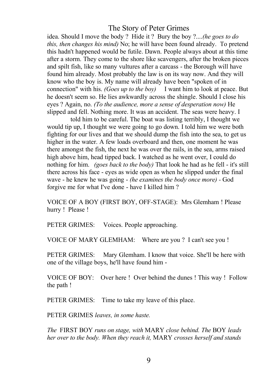idea. Should I move the body ? Hide it ? Bury the boy ?....*(he goes to do this, then changes his mind)* No; he will have been found already. To pretend this hadn't happened would be futile. Dawn. People always about at this time after a storm. They come to the shore like scavengers, after the broken pieces and spilt fish, like so many vultures after a carcass - the Borough will have found him already. Most probably the law is on its way now. And they will know who the boy is. My name will already have been "spoken of in connection" with his. *(Goes up to the boy)* I want him to look at peace. But he doesn't seem so. He lies awkwardly across the shingle. Should I close his eyes ? Again, no. *(To the audience, more a sense of desperation now)* He slipped and fell. Nothing more. It was an accident. The seas were heavy. I

told him to be careful. The boat was listing terribly, I thought we would tip up, I thought we were going to go down. I told him we were both fighting for our lives and that we should dump the fish into the sea, to get us higher in the water. A few loads overboard and then, one moment he was there amongst the fish, the next he was over the rails, in the sea, arms raised high above him, head tipped back. I watched as he went over, I could do nothing for him. *(goes back to the body)* That look he had as he fell - it's still there across his face - eyes as wide open as when he slipped under the final wave - he knew he was going - *(he examines the body once more) -* God forgive me for what I've done - have I killed him ?

VOICE OF A BOY (FIRST BOY, OFF-STAGE): Mrs Glemham ! Please hurry ! Please !

PETER GRIMES: Voices. People approaching.

VOICE OF MARY GLEMHAM: Where are you ? I can't see you !

PETER GRIMES: Mary Glemham. I know that voice. She'll be here with one of the village boys, he'll have found him -

VOICE OF BOY: Over here ! Over behind the dunes ! This way ! Follow the path !

PETER GRIMES: Time to take my leave of this place.

PETER GRIMES *leaves, in some haste.* 

*The* FIRST BOY *runs on stage, with* MARY *close behind. The* BOY *leads her over to the body. When they reach it,* MARY *crosses herself and stands*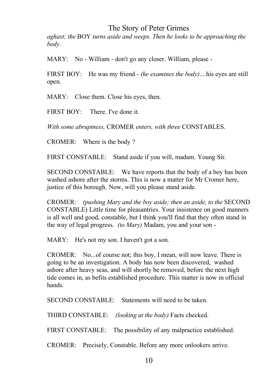*aghast; the* BOY *turns aside and weeps. Then he looks to be approaching the body.*

MARY: No - William - don't go any closer. William, please -

FIRST BOY: He was my friend - *(he examines the body)*....his eyes are still open.

MARY: Close them. Close his eyes, then.

FIRST BOY:There. I've done it.

*With some abruptness,* CROMER *enters, with three* CONSTABLES.

CROMER: Where is the body ?

FIRST CONSTABLE: Stand aside if you will, madam. Young Sir.

SECOND CONSTABLE: We have reports that the body of a boy has been washed ashore after the storms. This is now a matter for Mr Cromer here, justice of this borough. Now, will you please stand aside.

CROMER: *(pushing Mary and the boy aside; then an aside, to the* SECOND CONSTABLE) Little time for pleasantries. Your insistence on good manners is all well and good, constable, but I think you'll find that they often stand in the way of legal progress. *(to Mary)* Madam, you and your son -

MARY: He's not my son. I haven't got a son.

CROMER: No...of course not; this boy, I mean, will now leave. There is going to be an investigation. A body has now been discovered, washed ashore after heavy seas, and will shortly be removed, before the next high tide comes in, as befits established procedure. This matter is now in official hands.

SECOND CONSTABLE: Statements will need to be taken.

THIRD CONSTABLE: *(looking at the body)* Facts checked.

FIRST CONSTABLE: The possibility of any malpractice established.

CROMER: Precisely, Constable. Before any more onlookers arrive.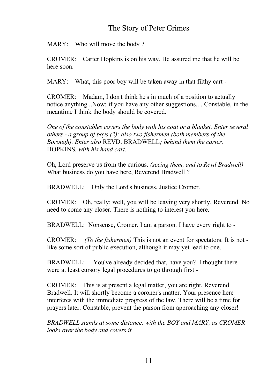MARY: Who will move the body?

CROMER: Carter Hopkins is on his way. He assured me that he will be here soon.

MARY: What, this poor boy will be taken away in that filthy cart -

CROMER: Madam, I don't think he's in much of a position to actually notice anything...Now; if you have any other suggestions.... Constable, in the meantime I think the body should be covered.

*One of the constables covers the body with his coat or a blanket. Enter several others - a group of boys (2); also two fishermen (both members of the Borough). Enter also* REVD. BRADWELL*; behind them the carter,* HOPKINS*, with his hand cart.*

Oh, Lord preserve us from the curious. *(seeing them, and to Revd Bradwell)* What business do you have here, Reverend Bradwell ?

BRADWELL: Only the Lord's business, Justice Cromer.

CROMER: Oh, really; well, you will be leaving very shortly, Reverend. No need to come any closer. There is nothing to interest you here.

BRADWELL: Nonsense, Cromer. I am a parson. I have every right to -

CROMER: *(To the fishermen)* This is not an event for spectators. It is not like some sort of public execution, although it may yet lead to one.

BRADWELL: You've already decided that, have you? I thought there were at least cursory legal procedures to go through first -

CROMER: This is at present a legal matter, you are right, Reverend Bradwell. It will shortly become a coroner's matter. Your presence here interferes with the immediate progress of the law. There will be a time for prayers later. Constable, prevent the parson from approaching any closer!

*BRADWELL stands at some distance, with the BOY and MARY, as CROMER looks over the body and covers it.*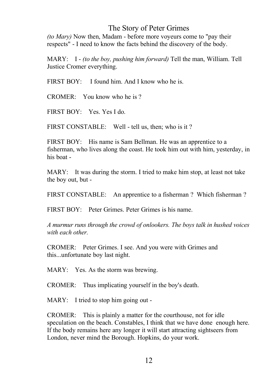*(to Mary)* Now then, Madam - before more voyeurs come to "pay their respects" - I need to know the facts behind the discovery of the body.

MARY: I - *(to the boy, pushing him forward)* Tell the man, William. Tell Justice Cromer everything.

 $FIRST BOY:$  I found him. And I know who he is.

 $CROMER:$  You know who he is ?

FIRST BOY: Yes. Yes I do.

FIRST CONSTABLE: Well - tell us, then; who is it?

FIRST BOY: His name is Sam Bellman. He was an apprentice to a fisherman, who lives along the coast. He took him out with him, yesterday, in his boat -

MARY: It was during the storm. I tried to make him stop, at least not take the boy out, but -

FIRST CONSTABLE: An apprentice to a fisherman ? Which fisherman ?

FIRST BOY: Peter Grimes. Peter Grimes is his name.

*A murmur runs through the crowd of onlookers. The boys talk in hushed voices with each other.*

CROMER: Peter Grimes. I see. And you were with Grimes and this...unfortunate boy last night.

MARY: Yes. As the storm was brewing.

CROMER: Thus implicating yourself in the boy's death.

MARY: I tried to stop him going out -

CROMER: This is plainly a matter for the courthouse, not for idle speculation on the beach. Constables, I think that we have done enough here. If the body remains here any longer it will start attracting sightseers from London, never mind the Borough. Hopkins, do your work.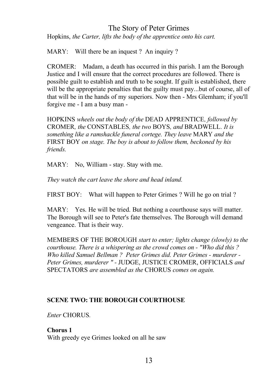Hopkins, *the Carter, lifts the body of the apprentice onto his cart.*

MARY: Will there be an inquest ? An inquiry ?

CROMER: Madam, a death has occurred in this parish. I am the Borough Justice and I will ensure that the correct procedures are followed. There is possible guilt to establish and truth to be sought. If guilt is established, there will be the appropriate penalties that the guilty must pay...but of course, all of that will be in the hands of my superiors. Now then - Mrs Glemham; if you'll forgive me - I am a busy man -

HOPKINS *wheels out the body of the* DEAD APPRENTICE*, followed by* CROMER*, the* CONSTABLES*, the two* BOYS*, and* BRADWELL*. It is something like a ramshackle funeral cortege. They leave* MARY *and the* FIRST BOY *on stage. The boy is about to follow them, beckoned by his friends.*

MARY: No, William - stay. Stay with me.

*They watch the cart leave the shore and head inland.*

FIRST BOY: What will happen to Peter Grimes ? Will he go on trial ?

MARY: Yes. He will be tried. But nothing a courthouse says will matter. The Borough will see to Peter's fate themselves. The Borough will demand vengeance. That is their way.

MEMBERS OF THE BOROUGH *start to enter; lights change (slowly) to the courthouse. There is a whispering as the crowd comes on - "Who did this ? Who killed Samuel Bellman ? Peter Grimes did. Peter Grimes - murderer - Peter Grimes, murderer " -* JUDGE, JUSTICE CROMER, OFFICIALS *and* SPECTATORS *are assembled as the* CHORUS *comes on again.* 

## **SCENE TWO: THE BOROUGH COURTHOUSE**

*Enter* CHORUS*.*

## **Chorus 1**

With greedy eye Grimes looked on all he saw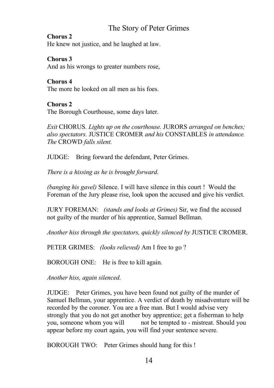#### **Chorus 2**

He knew not justice, and he laughed at law.

### **Chorus 3**

And as his wrongs to greater numbers rose,

## **Chorus 4**

The more he looked on all men as his foes.

## **Chorus 2**

The Borough Courthouse, some days later.

*Exit* CHORUS*. Lights up on the courthouse.* JURORS *arranged on benches; also spectators.* JUSTICE CROMER *and his* CONSTABLES *in attendance. The* CROWD *falls silent.*

JUDGE: Bring forward the defendant, Peter Grimes.

*There is a hissing as he is brought forward.* 

*(banging his gavel)* Silence. I will have silence in this court ! Would the Foreman of the Jury please rise, look upon the accused and give his verdict.

JURY FOREMAN: *(stands and looks at Grimes)* Sir, we find the accused not guilty of the murder of his apprentice, Samuel Bellman.

*Another hiss through the spectators, quickly silenced by* JUSTICE CROMER.

PETER GRIMES: *(looks relieved)* Am I free to go ?

BOROUGH ONE: He is free to kill again.

*Another hiss, again silenced.*

JUDGE: Peter Grimes, you have been found not guilty of the murder of Samuel Bellman, your apprentice. A verdict of death by misadventure will be recorded by the coroner. You are a free man. But I would advise very strongly that you do not get another boy apprentice; get a fisherman to help you, someone whom you will not be tempted to - mistreat. Should you appear before my court again, you will find your sentence severe.

BOROUGH TWO: Peter Grimes should hang for this !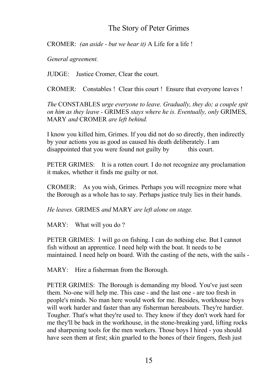CROMER: *(an aside - but we hear it)* A Life for a life !

*General agreement.*

JUDGE: Justice Cromer, Clear the court.

CROMER: Constables ! Clear this court ! Ensure that everyone leaves !

*The* CONSTABLES *urge everyone to leave. Gradually, they do; a couple spit on him as they leave -* GRIMES *stays where he is. Eventually, only* GRIMES, MARY *and* CROMER *are left behind.*

I know you killed him, Grimes. If you did not do so directly, then indirectly by your actions you as good as caused his death deliberately. I am disappointed that you were found not guilty by this court.

PETER GRIMES: It is a rotten court. I do not recognize any proclamation it makes, whether it finds me guilty or not.

CROMER: As you wish, Grimes. Perhaps you will recognize more what the Borough as a whole has to say. Perhaps justice truly lies in their hands.

*He leaves.* GRIMES *and* MARY *are left alone on stage.* 

MARY: What will you do?

PETER GRIMES: I will go on fishing. I can do nothing else. But I cannot fish without an apprentice. I need help with the boat. It needs to be maintained. I need help on board. With the casting of the nets, with the sails -

MARY: Hire a fisherman from the Borough.

PETER GRIMES: The Borough is demanding my blood. You've just seen them. No-one will help me. This case - and the last one - are too fresh in people's minds. No man here would work for me. Besides, workhouse boys will work harder and faster than any fisherman hereabouts. They're hardier. Tougher. That's what they're used to. They know if they don't work hard for me they'll be back in the workhouse, in the stone-breaking yard, lifting rocks and sharpening tools for the men workers. Those boys I hired - you should have seen them at first; skin gnarled to the bones of their fingers, flesh just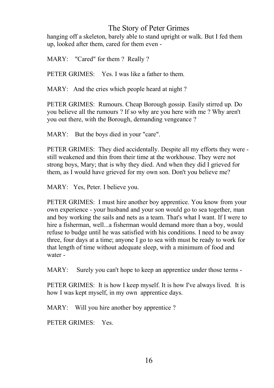hanging off a skeleton, barely able to stand upright or walk. But I fed them up, looked after them, cared for them even -

MARY: "Cared" for them ? Really ?

PETER GRIMES: Yes. I was like a father to them.

MARY: And the cries which people heard at night?

PETER GRIMES: Rumours. Cheap Borough gossip. Easily stirred up. Do you believe all the rumours ? If so why are you here with me ? Why aren't you out there, with the Borough, demanding vengeance ?

MARY: But the boys died in your "care".

PETER GRIMES: They died accidentally. Despite all my efforts they were still weakened and thin from their time at the workhouse. They were not strong boys, Mary; that is why they died. And when they did I grieved for them, as I would have grieved for my own son. Don't you believe me?

MARY: Yes, Peter. I believe you.

PETER GRIMES: I must hire another boy apprentice. You know from your own experience - your husband and your son would go to sea together, man and boy working the sails and nets as a team. That's what I want. If I were to hire a fisherman, well...a fisherman would demand more than a boy, would refuse to budge until he was satisfied with his conditions. I need to be away three, four days at a time; anyone I go to sea with must be ready to work for that length of time without adequate sleep, with a minimum of food and water -

MARY: Surely you can't hope to keep an apprentice under those terms -

PETER GRIMES: It is how I keep myself. It is how I've always lived. It is how I was kept myself, in my own apprentice days.

MARY: Will you hire another boy apprentice ?

PETER GRIMES: Yes.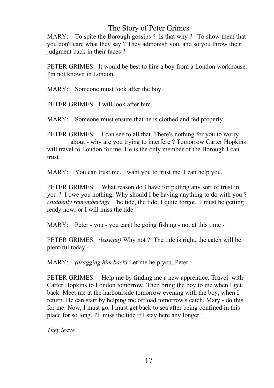MARY: To spite the Borough gossips ? Is that why ? To show them that you don't care what they say ? They admonish you, and so you throw their judgment back in their faces ?

PETER GRIMES: It would be best to hire a boy from a London workhouse. I'm not known in London.

MARY: Someone must look after the boy.

PETER GRIMES: I will look after him.

MARY: Someone must ensure that he is clothed and fed properly.

PETER GRIMES: I can see to all that. There's nothing for you to worry about - why are you trying to interfere ? Tomorrow Carter Hopkins will travel to London for me. He is the only member of the Borough I can trust.

MARY: You can trust me. I want you to trust me. I can help you.

PETER GRIMES: What reason do I have for putting any sort of trust in you ? I owe you nothing. Why should I be having anything to do with you ? *(suddenly remembering)* The tide, the tide; I quite forgot. I must be getting ready now, or I will miss the tide !

MARY: Peter - you - you can't be going fishing - not at this time -

PETER GRIMES: *(leaving)* Why not ? The tide is right, the catch will be plentiful today -

MARY: *(dragging him back)* Let me help you, Peter.

PETER GRIMES: Help me by finding me a new apprentice. Travel with Carter Hopkins to London tomorrow. Then bring the boy to me when I get back. Meet me at the harbourside tomorrow evening with the boy, when I return. He can start by helping me offload tomorrow's catch. Mary - do this for me. Now, I must go. I must get back to sea after being confined in this place for so long. I'll miss the tide if I stay here any longer !

*They leave.*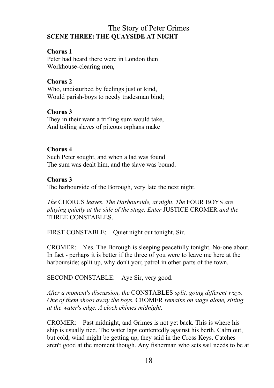## The Story of Peter Grimes **SCENE THREE: THE QUAYSIDE AT NIGHT**

## **Chorus 1**

Peter had heard there were in London then Workhouse-clearing men,

#### **Chorus 2**

Who, undisturbed by feelings just or kind, Would parish-boys to needy tradesman bind;

#### **Chorus 3**

They in their want a trifling sum would take, And toiling slaves of piteous orphans make

#### **Chorus 4**

Such Peter sought, and when a lad was found The sum was dealt him, and the slave was bound.

#### **Chorus 3**

The harbourside of the Borough, very late the next night.

*The* CHORUS *leaves. The Harbourside, at night. The* FOUR BOYS *are playing quietly at the side of the stage. Enter* JUSTICE CROMER *and the* THREE CONSTABLES.

FIRST CONSTABLE: Quiet night out tonight, Sir.

CROMER: Yes. The Borough is sleeping peacefully tonight. No-one about. In fact - perhaps it is better if the three of you were to leave me here at the harbourside; split up, why don't you; patrol in other parts of the town.

SECOND CONSTABLE: Aye Sir, very good.

*After a moment's discussion, the* CONSTABLES *split, going different ways. One of them shoos away the boys.* CROMER *remains on stage alone, sitting at the water's edge. A clock chimes midnight.*

CROMER: Past midnight, and Grimes is not yet back. This is where his ship is usually tied. The water laps contentedly against his berth. Calm out, but cold; wind might be getting up, they said in the Cross Keys. Catches aren't good at the moment though. Any fisherman who sets sail needs to be at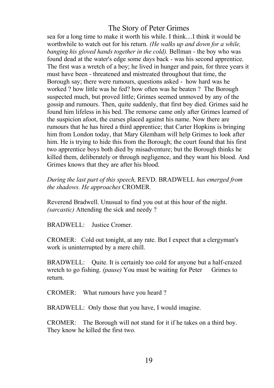sea for a long time to make it worth his while. I think....I think it would be worthwhile to watch out for his return. *(He walks up and down for a while, banging his gloved hands together in the cold).* Bellman - the boy who was found dead at the water's edge some days back - was his second apprentice. The first was a wretch of a boy; he lived in hunger and pain, for three years it must have been - threatened and mistreated throughout that time, the Borough say; there were rumours, questions asked - how hard was he worked ? how little was he fed? how often was he beaten ? The Borough suspected much, but proved little; Grimes seemed unmoved by any of the gossip and rumours. Then, quite suddenly, that first boy died. Grimes said he found him lifeless in his bed. The remorse came only after Grimes learned of the suspicion afoot, the curses placed against his name. Now there are rumours that he has hired a third apprentice; that Carter Hopkins is bringing him from London today, that Mary Glemham will help Grimes to look after him. He is trying to hide this from the Borough; the court found that his first two apprentice boys both died by misadventure; but the Borough thinks he killed them, deliberately or through negligence, and they want his blood. And Grimes knows that they are after his blood.

*During the last part of this speech,* REVD. BRADWELL *has emerged from the shadows. He approaches* CROMER*.* 

Reverend Bradwell. Unusual to find you out at this hour of the night. *(sarcastic)* Attending the sick and needy ?

BRADWELL: Justice Cromer.

CROMER: Cold out tonight, at any rate. But I expect that a clergyman's work is uninterrupted by a mere chill.

BRADWELL: Quite. It is certainly too cold for anyone but a half-crazed wretch to go fishing. *(pause)* You must be waiting for Peter Grimes to return.

CROMER: What rumours have you heard ?

BRADWELL: Only those that you have, I would imagine.

CROMER: The Borough will not stand for it if he takes on a third boy. They know he killed the first two.